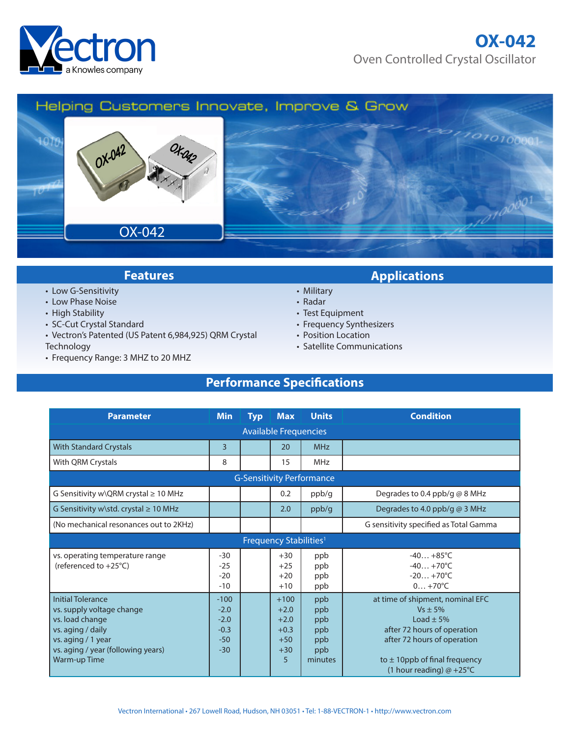

## **OX-042** Oven Controlled Crystal Oscillator

## Helping Customers Innovate, Improve & Grow



- Low G-Sensitivity
- Low Phase Noise
- High Stability
- SC-Cut Crystal Standard
- Vectron's Patented (US Patent 6,984,925) QRM Crystal **Technology**
- Frequency Range: 3 MHZ to 20 MHZ

## **Features Applications**

- Military
- Radar
- Test Equipment
- Frequency Synthesizers
- Position Location
- Satellite Communications

## **Performance Specifications**

| <b>Parameter</b>                                                                                                                                                          | <b>Min</b>                                             | <b>Typ</b> | <b>Max</b>                                                  | <b>Units</b>                                      | <b>Condition</b>                                                                                                                                                                                    |
|---------------------------------------------------------------------------------------------------------------------------------------------------------------------------|--------------------------------------------------------|------------|-------------------------------------------------------------|---------------------------------------------------|-----------------------------------------------------------------------------------------------------------------------------------------------------------------------------------------------------|
| <b>Available Frequencies</b>                                                                                                                                              |                                                        |            |                                                             |                                                   |                                                                                                                                                                                                     |
| <b>With Standard Crystals</b>                                                                                                                                             | $\overline{3}$                                         |            | 20                                                          | <b>MHz</b>                                        |                                                                                                                                                                                                     |
| With QRM Crystals                                                                                                                                                         | 8                                                      |            | 15                                                          | <b>MHz</b>                                        |                                                                                                                                                                                                     |
| <b>G-Sensitivity Performance</b>                                                                                                                                          |                                                        |            |                                                             |                                                   |                                                                                                                                                                                                     |
| G Sensitivity w\QRM crystal $\geq 10$ MHz                                                                                                                                 |                                                        |            | 0.2                                                         | ppb/g                                             | Degrades to 0.4 ppb/g @ 8 MHz                                                                                                                                                                       |
| G Sensitivity w\std. crystal ≥ 10 MHz                                                                                                                                     |                                                        |            | 2.0                                                         | ppb/g                                             | Degrades to 4.0 ppb/g $@$ 3 MHz                                                                                                                                                                     |
| (No mechanical resonances out to 2KHz)                                                                                                                                    |                                                        |            |                                                             |                                                   | G sensitivity specified as Total Gamma                                                                                                                                                              |
| Frequency Stabilities <sup>1</sup>                                                                                                                                        |                                                        |            |                                                             |                                                   |                                                                                                                                                                                                     |
| vs. operating temperature range<br>(referenced to +25°C)                                                                                                                  | $-30$<br>$-25$<br>$-20$<br>$-10$                       |            | $+30$<br>$+25$<br>$+20$<br>$+10$                            | ppb<br>ppb<br>ppb<br>ppb                          | $-40+85^{\circ}C$<br>$-40+70^{\circ}C$<br>$-20+70^{\circ}C$<br>$0+70^{\circ}C$                                                                                                                      |
| <b>Initial Tolerance</b><br>vs. supply voltage change<br>vs. load change<br>vs. aging / daily<br>vs. aging / 1 year<br>vs. aging / year (following years)<br>Warm-up Time | $-100$<br>$-2.0$<br>$-2.0$<br>$-0.3$<br>$-50$<br>$-30$ |            | $+100$<br>$+2.0$<br>$+2.0$<br>$+0.3$<br>$+50$<br>$+30$<br>5 | ppb<br>ppb<br>ppb<br>ppb<br>ppb<br>ppb<br>minutes | at time of shipment, nominal EFC<br>$Vs \pm 5\%$<br>Load $\pm$ 5%<br>after 72 hours of operation<br>after 72 hours of operation<br>to $\pm$ 10ppb of final frequency<br>(1 hour reading) $@ + 25°C$ |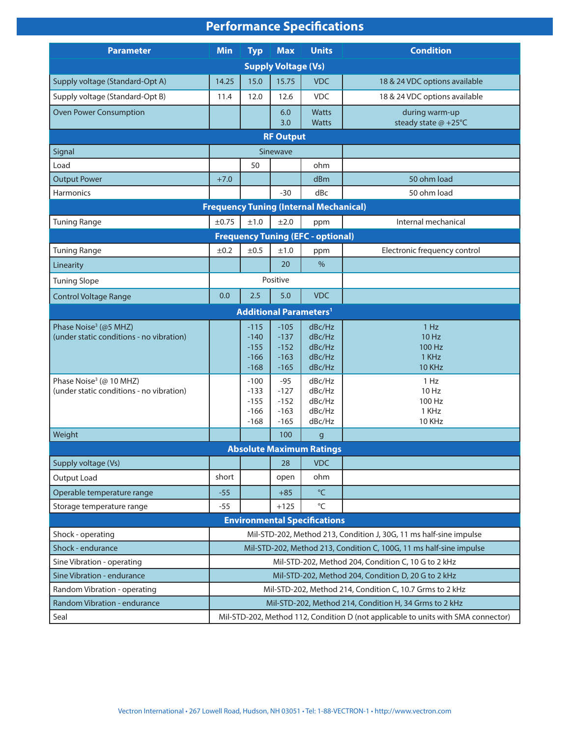# **Performance Specifications**

| <b>Parameter</b>                              | <b>Min</b>                                                                        | <b>Typ</b>       | <b>Max</b>       | <b>Units</b>                             | <b>Condition</b>              |
|-----------------------------------------------|-----------------------------------------------------------------------------------|------------------|------------------|------------------------------------------|-------------------------------|
| <b>Supply Voltage (Vs)</b>                    |                                                                                   |                  |                  |                                          |                               |
| Supply voltage (Standard-Opt A)               | 14.25                                                                             | 15.0             | 15.75            | <b>VDC</b>                               | 18 & 24 VDC options available |
| Supply voltage (Standard-Opt B)               | 11.4                                                                              | 12.0             | 12.6             | <b>VDC</b>                               | 18 & 24 VDC options available |
| <b>Oven Power Consumption</b>                 |                                                                                   |                  | 6.0              | <b>Watts</b>                             | during warm-up                |
|                                               |                                                                                   |                  | 3.0              | <b>Watts</b>                             | steady state @ +25°C          |
|                                               |                                                                                   |                  | <b>RF Output</b> |                                          |                               |
| Signal                                        |                                                                                   |                  | Sinewave         |                                          |                               |
| Load                                          |                                                                                   | 50               |                  | ohm                                      |                               |
| <b>Output Power</b>                           | $+7.0$                                                                            |                  |                  | dBm                                      | 50 ohm load                   |
| Harmonics                                     |                                                                                   |                  | $-30$            | dBc                                      | 50 ohm load                   |
| <b>Frequency Tuning (Internal Mechanical)</b> |                                                                                   |                  |                  |                                          |                               |
| <b>Tuning Range</b>                           | ±0.75                                                                             | ±1.0             | ±2.0             | ppm                                      | Internal mechanical           |
| <b>Frequency Tuning (EFC - optional)</b>      |                                                                                   |                  |                  |                                          |                               |
| <b>Tuning Range</b>                           | ±0.2                                                                              | ±0.5             | ±1.0             | ppm                                      | Electronic frequency control  |
| Linearity                                     |                                                                                   |                  | 20               | $\frac{0}{0}$                            |                               |
| <b>Tuning Slope</b>                           | Positive                                                                          |                  |                  |                                          |                               |
| <b>Control Voltage Range</b>                  | 0.0                                                                               | 2.5              | 5.0              | <b>VDC</b>                               |                               |
|                                               |                                                                                   |                  |                  | <b>Additional Parameters<sup>1</sup></b> |                               |
| Phase Noise <sup>3</sup> (@5 MHZ)             |                                                                                   | $-115$           | $-105$           | dBc/Hz                                   | 1 Hz                          |
| (under static conditions - no vibration)      |                                                                                   | $-140$<br>$-155$ | $-137$<br>$-152$ | dBc/Hz<br>dBc/Hz                         | 10 Hz<br>100 Hz               |
|                                               |                                                                                   | $-166$           | $-163$           | dBc/Hz                                   | 1 KHz                         |
|                                               |                                                                                   | $-168$           | $-165$           | dBc/Hz                                   | 10 KHz                        |
| Phase Noise <sup>3</sup> (@ 10 MHZ)           |                                                                                   | $-100$           | $-95$            | dBc/Hz                                   | 1 Hz                          |
| (under static conditions - no vibration)      |                                                                                   | $-133$<br>$-155$ | $-127$<br>$-152$ | dBc/Hz<br>dBc/Hz                         | 10 Hz<br>100 Hz               |
|                                               |                                                                                   | $-166$           | $-163$           | dBc/Hz                                   | 1 KHz                         |
|                                               |                                                                                   | $-168$           | $-165$           | dBc/Hz                                   | 10 KHz                        |
| Weight                                        |                                                                                   |                  | 100              | $\mathsf{g}$                             |                               |
| <b>Absolute Maximum Ratings</b>               |                                                                                   |                  |                  |                                          |                               |
| Supply voltage (Vs)                           |                                                                                   |                  | 28               | <b>VDC</b>                               |                               |
| Output Load                                   | short                                                                             |                  | open             | ohm                                      |                               |
| Operable temperature range                    | $-55$                                                                             |                  | $+85$            | $^{\circ}$ C                             |                               |
| Storage temperature range                     | $-55$                                                                             |                  | $+125$           | $^{\circ}{\sf C}$                        |                               |
| <b>Environmental Specifications</b>           |                                                                                   |                  |                  |                                          |                               |
| Shock - operating                             | Mil-STD-202, Method 213, Condition J, 30G, 11 ms half-sine impulse                |                  |                  |                                          |                               |
| Shock - endurance                             | Mil-STD-202, Method 213, Condition C, 100G, 11 ms half-sine impulse               |                  |                  |                                          |                               |
| Sine Vibration - operating                    | Mil-STD-202, Method 204, Condition C, 10 G to 2 kHz                               |                  |                  |                                          |                               |
| Sine Vibration - endurance                    | Mil-STD-202, Method 204, Condition D, 20 G to 2 kHz                               |                  |                  |                                          |                               |
| Random Vibration - operating                  | Mil-STD-202, Method 214, Condition C, 10.7 Grms to 2 kHz                          |                  |                  |                                          |                               |
| Random Vibration - endurance                  | Mil-STD-202, Method 214, Condition H, 34 Grms to 2 kHz                            |                  |                  |                                          |                               |
| Seal                                          | Mil-STD-202, Method 112, Condition D (not applicable to units with SMA connector) |                  |                  |                                          |                               |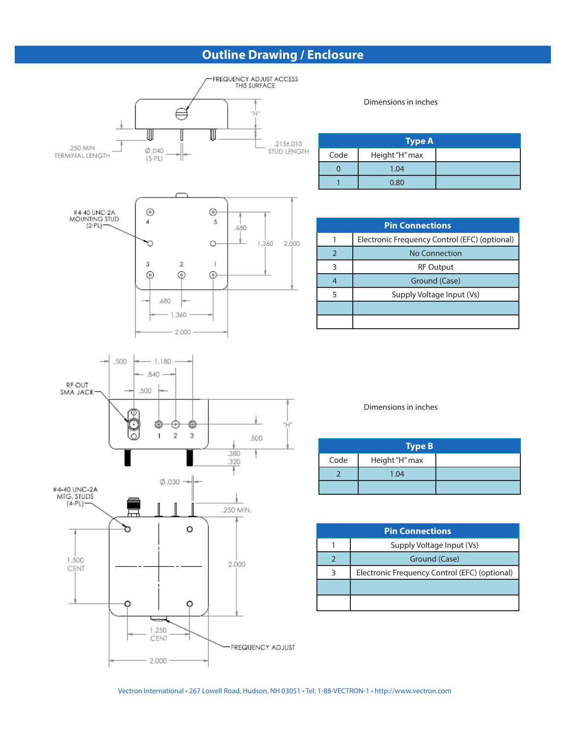## **Outline Drawing / Enclosure**



Dimensions in inches

| <b>Type A</b> |                |  |  |
|---------------|----------------|--|--|
| Code          | Height "H" max |  |  |
|               | 1.04           |  |  |
|               | 0.80           |  |  |

| <b>Pin Connections</b> |                                               |  |  |  |
|------------------------|-----------------------------------------------|--|--|--|
|                        | Electronic Frequency Control (EFC) (optional) |  |  |  |
|                        | No Connection                                 |  |  |  |
|                        | <b>RF Output</b>                              |  |  |  |
| 4                      | Ground (Case)                                 |  |  |  |
| 5                      | Supply Voltage Input (Vs)                     |  |  |  |
|                        |                                               |  |  |  |
|                        |                                               |  |  |  |

Dimensions in inches

|      | <b>Type B</b>  |
|------|----------------|
| Code | Height "H" max |
|      | 1.04           |
|      |                |

| <b>Pin Connections</b> |                                               |  |
|------------------------|-----------------------------------------------|--|
|                        | Supply Voltage Input (Vs)                     |  |
|                        | Ground (Case)                                 |  |
| 3                      | Electronic Frequency Control (EFC) (optional) |  |
|                        |                                               |  |
|                        |                                               |  |